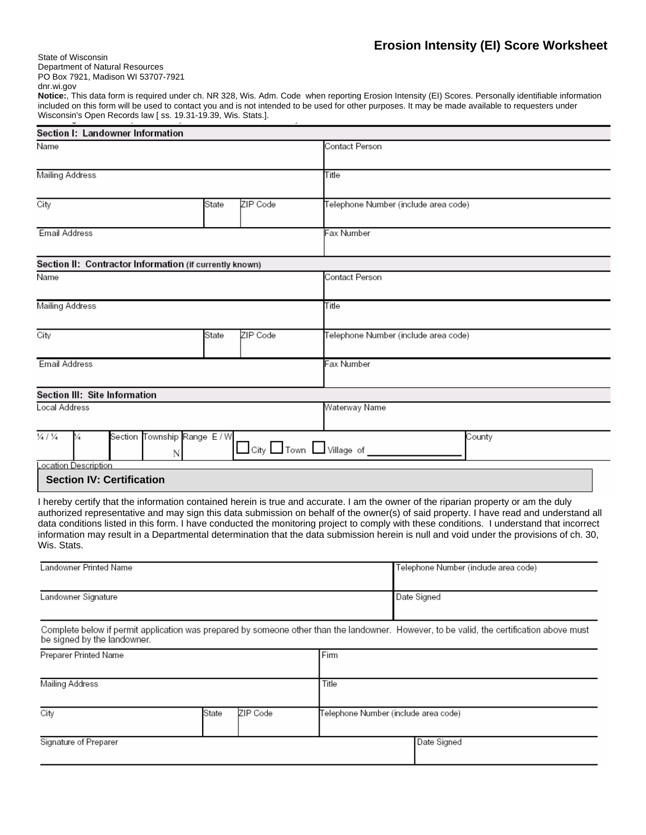State of Wisconsin Department of Natural Resources PO Box 7921, Madison WI 53707-7921

dnr.wi.gov

**Notice:**, This data form is required under ch. NR 328, Wis. Adm. Code when reporting Erosion Intensity (EI) Scores. Personally identifiable information included on this form will be used to contact you and is not intended to be used for other purposes. It may be made available to requesters under Wisconsin's Open Records law [ ss. 19.31-19.39, Wis. Stats.].

| Section I: Landowner Information                                                                                                                                                                                                                                                                                                                                                                                                                                                                                                                                                     |       |                      |                                      |                                      |  |  |  |  |  |  |
|--------------------------------------------------------------------------------------------------------------------------------------------------------------------------------------------------------------------------------------------------------------------------------------------------------------------------------------------------------------------------------------------------------------------------------------------------------------------------------------------------------------------------------------------------------------------------------------|-------|----------------------|--------------------------------------|--------------------------------------|--|--|--|--|--|--|
| Name                                                                                                                                                                                                                                                                                                                                                                                                                                                                                                                                                                                 |       | Contact Person       |                                      |                                      |  |  |  |  |  |  |
| Mailing Address                                                                                                                                                                                                                                                                                                                                                                                                                                                                                                                                                                      |       | Title                |                                      |                                      |  |  |  |  |  |  |
| City                                                                                                                                                                                                                                                                                                                                                                                                                                                                                                                                                                                 | State | ZIP Code             |                                      | Telephone Number (include area code) |  |  |  |  |  |  |
| Email Address                                                                                                                                                                                                                                                                                                                                                                                                                                                                                                                                                                        |       |                      | Fax Number                           |                                      |  |  |  |  |  |  |
| Section II: Contractor Information (if currently known)                                                                                                                                                                                                                                                                                                                                                                                                                                                                                                                              |       |                      |                                      |                                      |  |  |  |  |  |  |
| Name                                                                                                                                                                                                                                                                                                                                                                                                                                                                                                                                                                                 |       | Contact Person       |                                      |                                      |  |  |  |  |  |  |
| Mailing Address                                                                                                                                                                                                                                                                                                                                                                                                                                                                                                                                                                      |       |                      | Title                                |                                      |  |  |  |  |  |  |
| City                                                                                                                                                                                                                                                                                                                                                                                                                                                                                                                                                                                 | State | ZIP Code             |                                      | Telephone Number (include area code) |  |  |  |  |  |  |
| <b>Email Address</b>                                                                                                                                                                                                                                                                                                                                                                                                                                                                                                                                                                 |       | Fax Number           |                                      |                                      |  |  |  |  |  |  |
| Section III: Site Information                                                                                                                                                                                                                                                                                                                                                                                                                                                                                                                                                        |       |                      |                                      |                                      |  |  |  |  |  |  |
| Local Address                                                                                                                                                                                                                                                                                                                                                                                                                                                                                                                                                                        |       | Waterway Name        |                                      |                                      |  |  |  |  |  |  |
| $\frac{1}{4}$ / $\frac{1}{4}$<br>Section Township Range E / W<br>¼<br>Ν                                                                                                                                                                                                                                                                                                                                                                                                                                                                                                              |       | City Town Village of |                                      | County                               |  |  |  |  |  |  |
| ocation Description                                                                                                                                                                                                                                                                                                                                                                                                                                                                                                                                                                  |       |                      |                                      |                                      |  |  |  |  |  |  |
| <b>Section IV: Certification</b>                                                                                                                                                                                                                                                                                                                                                                                                                                                                                                                                                     |       |                      |                                      |                                      |  |  |  |  |  |  |
| I hereby certify that the information contained herein is true and accurate. I am the owner of the riparian property or am the duly<br>authorized representative and may sign this data submission on behalf of the owner(s) of said property. I have read and understand all<br>data conditions listed in this form. I have conducted the monitoring project to comply with these conditions. I understand that incorrect<br>information may result in a Departmental determination that the data submission herein is null and void under the provisions of ch. 30,<br>Wis. Stats. |       |                      |                                      |                                      |  |  |  |  |  |  |
| Landowner Printed Name                                                                                                                                                                                                                                                                                                                                                                                                                                                                                                                                                               |       |                      | Telephone Number (include area code) |                                      |  |  |  |  |  |  |
| Landowner Signature                                                                                                                                                                                                                                                                                                                                                                                                                                                                                                                                                                  |       |                      | Date Signed                          |                                      |  |  |  |  |  |  |
| Complete below if permit application was prepared by someone other than the landowner. However, to be valid, the certification above must<br>be signed by the landowner.                                                                                                                                                                                                                                                                                                                                                                                                             |       |                      |                                      |                                      |  |  |  |  |  |  |
| Preparer Printed Name                                                                                                                                                                                                                                                                                                                                                                                                                                                                                                                                                                |       | Firm                 |                                      |                                      |  |  |  |  |  |  |
| Mailing Address                                                                                                                                                                                                                                                                                                                                                                                                                                                                                                                                                                      |       | Title                |                                      |                                      |  |  |  |  |  |  |
| City                                                                                                                                                                                                                                                                                                                                                                                                                                                                                                                                                                                 | State | ZIP Code             | Telephone Number (include area code) |                                      |  |  |  |  |  |  |
| Signature of Preparer                                                                                                                                                                                                                                                                                                                                                                                                                                                                                                                                                                |       |                      | Date Signed                          |                                      |  |  |  |  |  |  |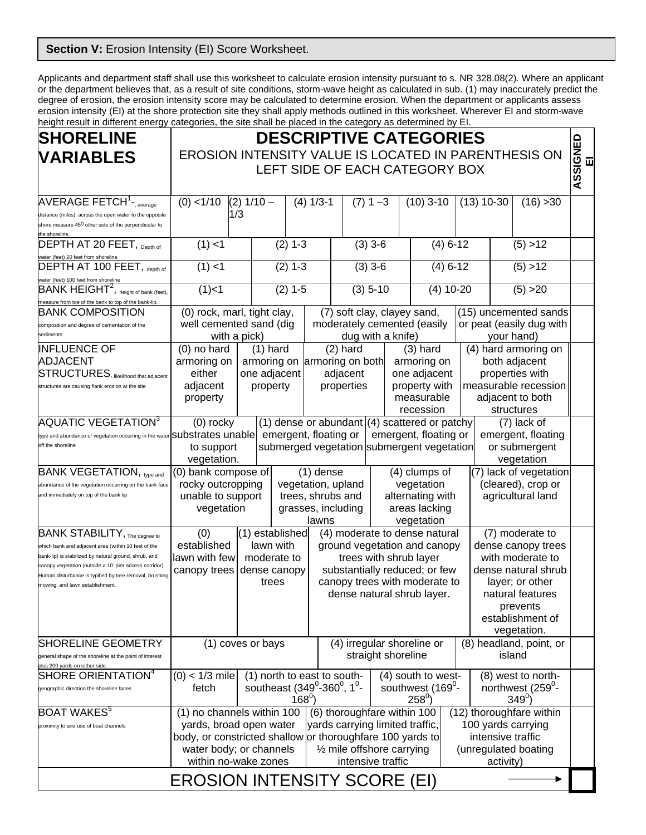## **Section V: Erosion Intensity (EI) Score Worksheet.**

Applicants and department staff shall use this worksheet to calculate erosion intensity pursuant to s. NR 328.08(2). Where an applicant or the department believes that, as a result of site conditions, storm-wave height as calculated in sub. (1) may inaccurately predict the degree of erosion, the erosion intensity score may be calculated to determine erosion. When the department or applicants assess erosion intensity (EI) at the shore protection site they shall apply methods outlined in this worksheet. Wherever EI and storm-wave height result in different energy categories, the site shall be placed in the category as determined by EI.

| <b>SHORELINE</b>                                                                                                             | <b>DESCRIPTIVE CATEGORIES</b>                                                                                                                                                                                                                       |                                                                                         |                                         |                             |                                                                                                            |                                   |                               |                        |                                         |                                        |          |  |
|------------------------------------------------------------------------------------------------------------------------------|-----------------------------------------------------------------------------------------------------------------------------------------------------------------------------------------------------------------------------------------------------|-----------------------------------------------------------------------------------------|-----------------------------------------|-----------------------------|------------------------------------------------------------------------------------------------------------|-----------------------------------|-------------------------------|------------------------|-----------------------------------------|----------------------------------------|----------|--|
| <b>VARIABLES</b>                                                                                                             | EROSION INTENSITY VALUE IS LOCATED IN PARENTHESIS ON                                                                                                                                                                                                |                                                                                         |                                         |                             |                                                                                                            |                                   |                               |                        |                                         |                                        | 靣        |  |
|                                                                                                                              | LEFT SIDE OF EACH CATEGORY BOX                                                                                                                                                                                                                      |                                                                                         |                                         |                             |                                                                                                            |                                   |                               |                        |                                         |                                        | ASSIGNED |  |
|                                                                                                                              |                                                                                                                                                                                                                                                     |                                                                                         |                                         |                             |                                                                                                            |                                   |                               |                        |                                         |                                        |          |  |
| AVERAGE FETCH <sup>1</sup> -, average                                                                                        | $(0)$ < 1/10<br>$(2) 1/10 -$                                                                                                                                                                                                                        |                                                                                         | $(4) 1/3-1$                             |                             |                                                                                                            | $(7) 1 - 3$<br>$(10)$ 3-10        |                               | $(13)$ 10-30           |                                         | (16) > 30                              |          |  |
| distance (miles), across the open water to the opposite<br>shore measure 45 <sup>0</sup> other side of the perpendicular to  | 1/3                                                                                                                                                                                                                                                 |                                                                                         |                                         |                             |                                                                                                            |                                   |                               |                        |                                         |                                        |          |  |
| the shoreline.                                                                                                               |                                                                                                                                                                                                                                                     |                                                                                         |                                         |                             |                                                                                                            |                                   |                               |                        |                                         |                                        |          |  |
| DEPTH AT 20 FEET, Depth of                                                                                                   | (1) < 1                                                                                                                                                                                                                                             |                                                                                         | $(2)$ 1-3                               |                             | $(3)$ 3-6                                                                                                  |                                   | $(4) 6 - 12$                  |                        | (5) > 12                                |                                        |          |  |
| water (feet) 20 feet from shoreline<br>DEPTH AT 100 FEET, depth of                                                           | (1) < 1                                                                                                                                                                                                                                             |                                                                                         | $(2)$ 1-3                               |                             | $(3)$ 3-6                                                                                                  |                                   | $(4) 6 - 12$                  |                        | (5) > 12                                |                                        |          |  |
| water (feet) 100 feet from shoreline                                                                                         |                                                                                                                                                                                                                                                     |                                                                                         |                                         |                             |                                                                                                            |                                   |                               |                        |                                         |                                        |          |  |
| $BANK HEGHT2,$ height of bank (feet),<br>measure from toe of the bank to top of the bank-lip.                                | $(1)$ < 1                                                                                                                                                                                                                                           | $(2) 1-5$                                                                               |                                         |                             |                                                                                                            | $(3)$ 5-10<br>$(4)$ 10-20         |                               | (5) > 20               |                                         |                                        |          |  |
| <b>BANK COMPOSITION</b>                                                                                                      | (0) rock, marl, tight clay,                                                                                                                                                                                                                         |                                                                                         |                                         | (7) soft clay, clayey sand, | (15) uncemented sands                                                                                      |                                   |                               |                        |                                         |                                        |          |  |
| composition and degree of cementation of the                                                                                 | well cemented sand (dig                                                                                                                                                                                                                             |                                                                                         |                                         |                             |                                                                                                            |                                   | moderately cemented (easily   |                        | or peat (easily dug with                |                                        |          |  |
| sediments                                                                                                                    | with a pick)<br>$(1)$ hard                                                                                                                                                                                                                          |                                                                                         |                                         |                             | dug with a knife)                                                                                          |                                   |                               |                        | your hand)                              |                                        |          |  |
| <b>INFLUENCE OF</b><br><b>ADJACENT</b>                                                                                       | $(0)$ no hard                                                                                                                                                                                                                                       |                                                                                         | $(2)$ hard<br>armoring on both          |                             | $(3)$ hard                                                                                                 |                                   | (4) hard armoring on          |                        |                                         |                                        |          |  |
| <b>STRUCTURES</b> , likelihood that adjacent                                                                                 | either                                                                                                                                                                                                                                              | armoring on<br>armoring on<br>one adjacent                                              |                                         |                             |                                                                                                            |                                   | armoring on<br>one adjacent   |                        | both adjacent<br>properties with        |                                        |          |  |
| structures are causing flank erosion at the site                                                                             | adjacent                                                                                                                                                                                                                                            | property                                                                                |                                         |                             | adjacent<br>properties                                                                                     |                                   | property with                 |                        | measurable recession                    |                                        |          |  |
|                                                                                                                              | property                                                                                                                                                                                                                                            |                                                                                         |                                         |                             |                                                                                                            | measurable                        |                               | adjacent to both       |                                         |                                        |          |  |
|                                                                                                                              |                                                                                                                                                                                                                                                     |                                                                                         |                                         |                             |                                                                                                            |                                   | recession                     |                        |                                         | structures                             |          |  |
| AQUATIC VEGETATION <sup>3</sup><br>type and abundance of vegetation occurring in the water ${\sf substrates}$ ${\sf unable}$ |                                                                                                                                                                                                                                                     | (1) dense or abundant $(4)$ scattered or patchy<br>$(0)$ rocky<br>emergent, floating or |                                         |                             |                                                                                                            |                                   |                               |                        |                                         | $(7)$ lack of                          |          |  |
| off the shoreline                                                                                                            | to support                                                                                                                                                                                                                                          |                                                                                         |                                         |                             | emergent, floating or<br>emergent, floating<br>submerged vegetation submergent vegetation<br>or submergent |                                   |                               |                        |                                         |                                        |          |  |
|                                                                                                                              | vegetation.<br>vegetation                                                                                                                                                                                                                           |                                                                                         |                                         |                             |                                                                                                            |                                   |                               |                        |                                         |                                        |          |  |
| <b>BANK VEGETATION, type and</b>                                                                                             |                                                                                                                                                                                                                                                     | (0) bank compose of<br>$(1)$ dense                                                      |                                         |                             |                                                                                                            |                                   | (4) clumps of                 | (7) lack of vegetation |                                         |                                        |          |  |
| abundance of the vegetation occurring on the bank face<br>and immediately on top of the bank lip                             | rocky outcropping                                                                                                                                                                                                                                   |                                                                                         |                                         |                             | vegetation, upland                                                                                         |                                   | vegetation                    |                        | (cleared), crop or                      |                                        |          |  |
|                                                                                                                              | unable to support<br>vegetation                                                                                                                                                                                                                     |                                                                                         | trees, shrubs and<br>grasses, including |                             |                                                                                                            | alternating with<br>areas lacking |                               |                        | agricultural land                       |                                        |          |  |
|                                                                                                                              |                                                                                                                                                                                                                                                     |                                                                                         |                                         |                             | lawns                                                                                                      |                                   | vegetation                    |                        |                                         |                                        |          |  |
| <b>BANK STABILITY</b> , The degree to                                                                                        | (0)                                                                                                                                                                                                                                                 | (1) established                                                                         |                                         |                             |                                                                                                            |                                   | (4) moderate to dense natural |                        |                                         | (7) moderate to                        |          |  |
| which bank and adjacent area (within 10 feet of the                                                                          | established<br>lawn with                                                                                                                                                                                                                            |                                                                                         |                                         |                             |                                                                                                            |                                   | ground vegetation and canopy  |                        | dense canopy trees                      |                                        |          |  |
| bank-lip) is stabilized by natural ground, shrub, and<br>canopy vegetation (outside a 10' pier access corridor).             | lawn with few<br>moderate to                                                                                                                                                                                                                        |                                                                                         |                                         |                             | trees with shrub layer<br>substantially reduced; or few                                                    |                                   |                               |                        | with moderate to<br>dense natural shrub |                                        |          |  |
| Human disturbance is typified by tree removal, brushing,                                                                     | canopy trees<br>dense canopy<br>trees                                                                                                                                                                                                               |                                                                                         |                                         |                             | canopy trees with moderate to                                                                              |                                   |                               |                        |                                         | layer; or other                        |          |  |
| mowing, and lawn establishment.                                                                                              | dense natural shrub layer.                                                                                                                                                                                                                          |                                                                                         |                                         |                             |                                                                                                            |                                   | natural features              |                        |                                         |                                        |          |  |
|                                                                                                                              |                                                                                                                                                                                                                                                     |                                                                                         |                                         |                             |                                                                                                            |                                   | prevents                      |                        |                                         |                                        |          |  |
|                                                                                                                              |                                                                                                                                                                                                                                                     |                                                                                         |                                         |                             |                                                                                                            |                                   |                               |                        |                                         | establishment of                       |          |  |
| SHORELINE GEOMETRY                                                                                                           | (1) coves or bays                                                                                                                                                                                                                                   |                                                                                         |                                         |                             | (4) irregular shoreline or                                                                                 |                                   |                               |                        |                                         | vegetation.<br>(8) headland, point, or |          |  |
| general shape of the shoreline at the point of interest                                                                      |                                                                                                                                                                                                                                                     |                                                                                         | straight shoreline                      |                             |                                                                                                            |                                   |                               | island                 |                                         |                                        |          |  |
| plus 200 yards on either side                                                                                                | (1) north to east to south-<br>(4) south to west-<br>(8) west to north-                                                                                                                                                                             |                                                                                         |                                         |                             |                                                                                                            |                                   |                               |                        |                                         |                                        |          |  |
| SHORE ORIENTATION $4$<br>geographic direction the shoreline faces                                                            | $(0) < 1/3$ mile<br>southeast (349°-360°, 1°-<br>fetch<br>$168^{\circ}$                                                                                                                                                                             |                                                                                         |                                         |                             |                                                                                                            |                                   | southwest (169 <sup>0</sup> - |                        |                                         | northwest (259 <sup>0</sup> -          |          |  |
|                                                                                                                              |                                                                                                                                                                                                                                                     |                                                                                         |                                         |                             |                                                                                                            |                                   |                               | $349^0$                |                                         |                                        |          |  |
| BOAT WAKES <sup>5</sup>                                                                                                      | $258^0$<br>(1) no channels within 100<br>(6) thoroughfare within 100<br>(12) thoroughfare within                                                                                                                                                    |                                                                                         |                                         |                             |                                                                                                            |                                   |                               |                        |                                         |                                        |          |  |
| proximity to and use of boat channels                                                                                        | yards carrying limited traffic,<br>100 yards carrying<br>yards, broad open water<br>body, or constricted shallow or thoroughfare 100 yards to<br>intensive traffic<br>1/2 mile offshore carrying<br>(unregulated boating<br>water body; or channels |                                                                                         |                                         |                             |                                                                                                            |                                   |                               |                        |                                         |                                        |          |  |
|                                                                                                                              |                                                                                                                                                                                                                                                     |                                                                                         |                                         |                             |                                                                                                            |                                   |                               |                        |                                         |                                        |          |  |
|                                                                                                                              | intensive traffic<br>within no-wake zones<br>activity)                                                                                                                                                                                              |                                                                                         |                                         |                             |                                                                                                            |                                   |                               |                        |                                         |                                        |          |  |
| <b>EROSION INTENSITY SCORE (EI)</b>                                                                                          |                                                                                                                                                                                                                                                     |                                                                                         |                                         |                             |                                                                                                            |                                   |                               |                        |                                         |                                        |          |  |
|                                                                                                                              |                                                                                                                                                                                                                                                     |                                                                                         |                                         |                             |                                                                                                            |                                   |                               |                        |                                         |                                        |          |  |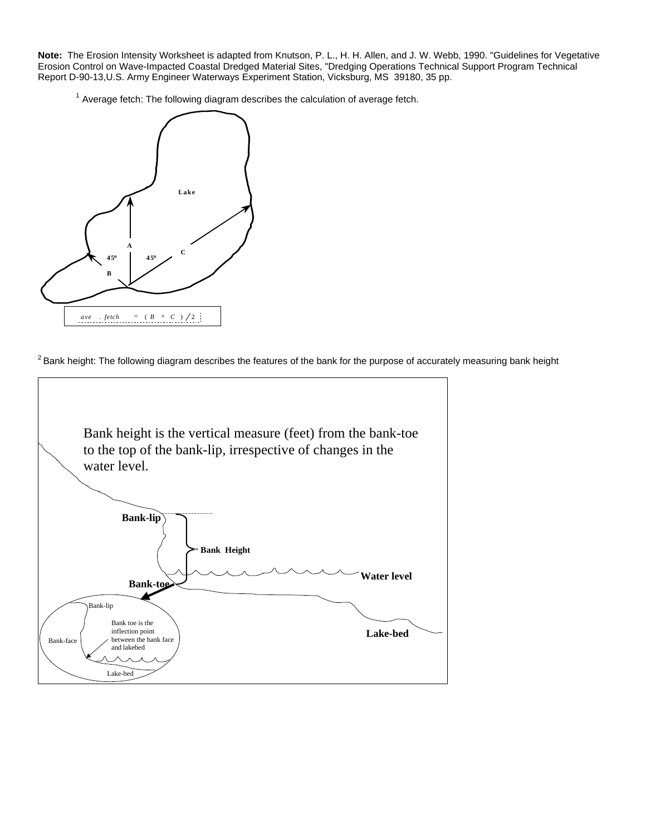**Note:** The Erosion Intensity Worksheet is adapted from Knutson, P. L., H. H. Allen, and J. W. Webb, 1990. "Guidelines for Vegetative Erosion Control on Wave-Impacted Coastal Dredged Material Sites, "Dredging Operations Technical Support Program Technical Report D-90-13,U.S. Army Engineer Waterways Experiment Station, Vicksburg, MS 39180, 35 pp.

 $1$  Average fetch: The following diagram describes the calculation of average fetch.



 $2$  Bank height: The following diagram describes the features of the bank for the purpose of accurately measuring bank height